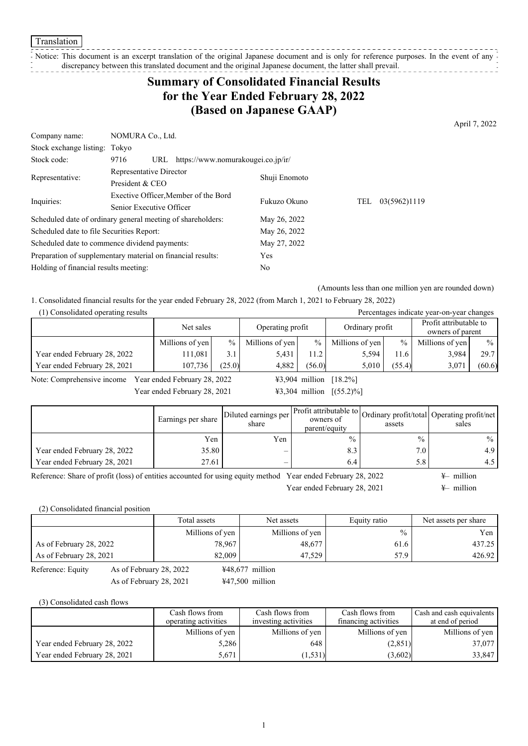Translation

## Notice: This document is an excerpt translation of the original Japanese document and is only for reference purposes. In the event of any  $\frac{1}{2}$

discrepancy between this translated document and the original Japanese document, the latter shall prevail. . . . . . . . . . . . . . . . . .

# **Summary of Consolidated Financial Results for the Year Ended February 28, 2022 (Based on Japanese GAAP)**

April 7, 2022

| Company name:                                 | NOMURA Co., Ltd.                                            |               |     |              |  |
|-----------------------------------------------|-------------------------------------------------------------|---------------|-----|--------------|--|
| Stock exchange listing:                       | Tokyo                                                       |               |     |              |  |
| Stock code:                                   | https://www.nomurakougei.co.jp/ir/<br>9716<br>URL           |               |     |              |  |
|                                               | Representative Director                                     |               |     |              |  |
| Representative:                               | President & CEO                                             | Shuji Enomoto |     |              |  |
|                                               | Exective Officer, Member of the Bord                        | Fukuzo Okuno  |     |              |  |
| Inquiries:                                    | Senior Executive Officer                                    |               | TEL | 03(5962)1119 |  |
|                                               | Scheduled date of ordinary general meeting of shareholders: | May 26, 2022  |     |              |  |
| Scheduled date to file Securities Report:     |                                                             | May 26, 2022  |     |              |  |
| Scheduled date to commence dividend payments: |                                                             | May 27, 2022  |     |              |  |
|                                               | Preparation of supplementary material on financial results: | <b>Yes</b>    |     |              |  |
| Holding of financial results meeting:         |                                                             | No            |     |              |  |

(Amounts less than one million yen are rounded down)

1. Consolidated financial results for the year ended February 28, 2022 (from March 1, 2021 to February 28, 2022)

| (1) Consolidated operating results<br>Percentages indicate year-on-year changes |                               |        |                 |        |                 |                        |                  |        |
|---------------------------------------------------------------------------------|-------------------------------|--------|-----------------|--------|-----------------|------------------------|------------------|--------|
|                                                                                 | Operating profit<br>Net sales |        |                 |        |                 | Profit attributable to |                  |        |
|                                                                                 |                               |        |                 |        | Ordinary profit |                        | owners of parent |        |
|                                                                                 | Millions of yen               | $\%$   | Millions of yen | $\%$   | Millions of yen | $\frac{0}{0}$          | Millions of yen  | $\%$   |
| Year ended February 28, 2022                                                    | 11.081                        | 3.1    | 5.431           | 11.2   | 5,594           | 11.6                   | 3.984            | 29.7   |
| Year ended February 28, 2021                                                    | 107.736                       | (25.0) | 4.882           | (56.0) | 5.010           | (55.4)                 | 3,071            | (60.6) |

Note: Comprehensive income Year ended February 28, 2022 ¥3,904 million [18.2%]

Year ended February 28, 2021 ¥3,304 million [(55.2)%]

|                              | Earnings per share | Diluted earnings per<br>share | owners of<br>parent/equity | assets        | er Profit attributable to Ordinary profit/total Operating profit/net<br>sales |
|------------------------------|--------------------|-------------------------------|----------------------------|---------------|-------------------------------------------------------------------------------|
|                              | Yen                | Yen                           | $\frac{0}{0}$              | $\frac{0}{0}$ | $\%$                                                                          |
| Year ended February 28, 2022 | 35.80              | $\overline{\phantom{a}}$      | 8.3                        | 7.0           | 4.9                                                                           |
| Year ended February 28, 2021 | 27.61              | $\overline{\phantom{0}}$      | 6.4                        | 5.8           | 4.5                                                                           |

Reference: Share of profit (loss) of entities accounted for using equity method Year ended February 28, 2022  $\quad$ Year ended February 28, 2021  $\quad 4$ – million

(2) Consolidated financial position

|                         |                         | Total assets    | Net assets        | Equity ratio  | Net assets per share |  |
|-------------------------|-------------------------|-----------------|-------------------|---------------|----------------------|--|
|                         |                         | Millions of yen | Millions of yen   | $\frac{0}{0}$ | Yen                  |  |
| As of February 28, 2022 |                         | 78.967          | 48,677            | 61.6          | 437.25               |  |
| As of February 28, 2021 |                         | 82,009          | 47,529            | 57.9          | 426.92               |  |
| Reference: Equity       | As of February 28, 2022 |                 | $448,677$ million |               |                      |  |
|                         | As of February 28, 2021 |                 | $447,500$ million |               |                      |  |

(3) Consolidated cash flows

|                              | Cash flows from      | Cash flows from      | Cash flows from      | Cash and cash equivalents |
|------------------------------|----------------------|----------------------|----------------------|---------------------------|
|                              | operating activities | investing activities | financing activities | at end of period          |
|                              | Millions of yen      | Millions of yen      | Millions of yen      | Millions of yen           |
| Year ended February 28, 2022 | 5.286                | 648                  | (2,851)              | 37,077                    |
| Year ended February 28, 2021 | 5.671                | (1, 531)             | (3,602)              | 33,847                    |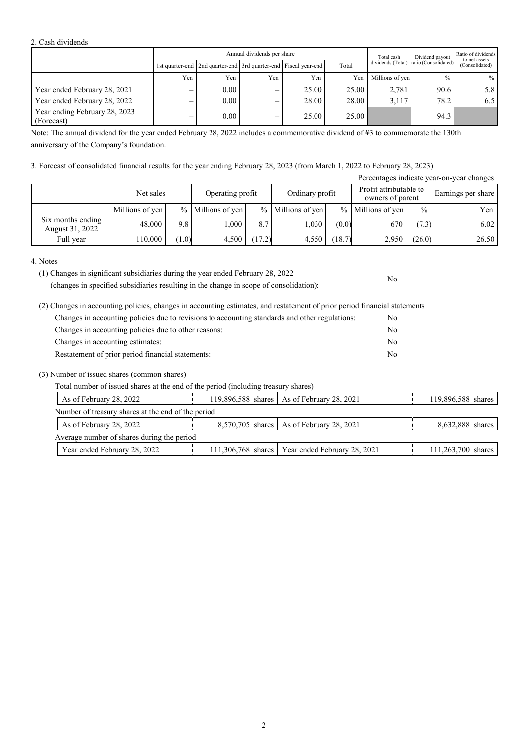### 2. Cash dividends

| Annual dividends per share                  |     |                                                                       |                          |       |       | Total cash      | Dividend payout                        | Ratio of dividends<br>to net assets |  |
|---------------------------------------------|-----|-----------------------------------------------------------------------|--------------------------|-------|-------|-----------------|----------------------------------------|-------------------------------------|--|
|                                             |     | 1st quarter-end   2nd quarter-end   3rd quarter-end   Fiscal year-end |                          |       | Total |                 | dividends (Total) ratio (Consolidated) | (Consolidated)                      |  |
|                                             | Yen | Yen                                                                   | Yen                      | Yen   | Yen   | Millions of yen | $\frac{0}{0}$                          | $\%$                                |  |
| Year ended February 28, 2021                | –   | 0.00                                                                  | $\overline{\phantom{0}}$ | 25.00 | 25.00 | 2.781           | 90.6                                   | 5.8                                 |  |
| Year ended February 28, 2022                | –   | $0.00\,$                                                              | $\overline{\phantom{0}}$ | 28.00 | 28.00 | 3.117           | 78.2                                   | 6.5                                 |  |
| Year ending February 28, 2023<br>(Forecast) | –   | 0.00                                                                  | $\overline{\phantom{0}}$ | 25.00 | 25.00 |                 | 94.3                                   |                                     |  |

Note: The annual dividend for the year ended February 28, 2022 includes a commemorative dividend of ¥3 to commemorate the 130th anniversary of the Company's foundation.

## 3. Forecast of consolidated financial results for the year ending February 28, 2023 (from March 1, 2022 to February 28, 2023)

| Percentages indicate year-on-year changes |                 |                  |                   |                 |                     |                                            |                   |                    |       |  |
|-------------------------------------------|-----------------|------------------|-------------------|-----------------|---------------------|--------------------------------------------|-------------------|--------------------|-------|--|
|                                           | Net sales       | Operating profit |                   | Ordinary profit |                     | Profit attributable to<br>owners of parent |                   | Earnings per share |       |  |
|                                           | Millions of yen |                  | % Millions of yen |                 | $%$ Millions of yen |                                            | % Millions of yen | $\frac{0}{0}$      | Yen   |  |
| Six months ending<br>August 31, 2022      | 48,000          | 9.8              | 000.1             | 8.7             | 1,030               | (0.0)                                      | 670               | (7.3)              | 6.02  |  |
| Full year                                 | 110.000         | (1.0)            | 4.500             | 17.2)           | 4.550               | (18.7)                                     | 2,950             | (26.0)             | 26.50 |  |

No

4. Notes

(changes in specified subsidiaries resulting in the change in scope of consolidation):

| (2) Changes in accounting policies, changes in accounting estimates, and restatement of prior period financial statements |     |
|---------------------------------------------------------------------------------------------------------------------------|-----|
| Changes in accounting policies due to revisions to accounting standards and other regulations:                            | No. |
| Changes in accounting policies due to other reasons:                                                                      | No  |
| Changes in accounting estimates:                                                                                          | No  |
| Restatement of prior period financial statements:                                                                         | No  |

## (3) Number of issued shares (common shares)

| Total number of issued shares at the end of the period (including treasury shares) |  |
|------------------------------------------------------------------------------------|--|
|                                                                                    |  |

| As of February 28, 2022                            | 119,896,588 shares   As of February 28, 2021      | 119,896,588 shares |
|----------------------------------------------------|---------------------------------------------------|--------------------|
| Number of treasury shares at the end of the period |                                                   |                    |
| As of February 28, 2022                            | 8,570,705 shares   As of February 28, 2021        | 8,632,888 shares   |
| Average number of shares during the period         |                                                   |                    |
| Year ended February 28, 2022                       | 111,306,768 shares   Year ended February 28, 2021 | 111,263,700 shares |

<sup>(1)</sup> Changes in significant subsidiaries during the year ended February 28, 2022